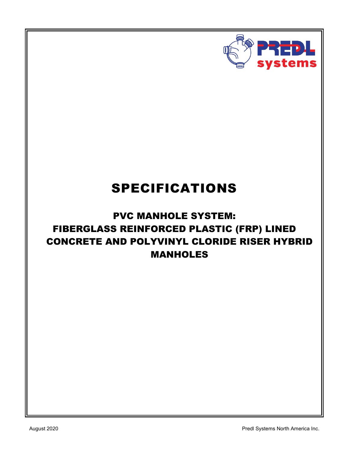

# SPECIFICATIONS

# PVC MANHOLE SYSTEM: FIBERGLASS REINFORCED PLASTIC (FRP) LINED CONCRETE AND POLYVINYL CLORIDE RISER HYBRID MANHOLES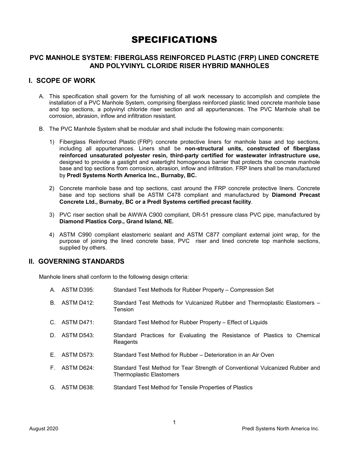# SPECIFICATIONS

# **PVC MANHOLE SYSTEM: FIBERGLASS REINFORCED PLASTIC (FRP) LINED CONCRETE AND POLYVINYL CLORIDE RISER HYBRID MANHOLES**

## **I. SCOPE OF WORK**

- A. This specification shall govern for the furnishing of all work necessary to accomplish and complete the installation of a PVC Manhole System, comprising fiberglass reinforced plastic lined concrete manhole base and top sections, a polyvinyl chloride riser section and all appurtenances. The PVC Manhole shall be corrosion, abrasion, inflow and infiltration resistant.
- B. The PVC Manhole System shall be modular and shall include the following main components:
	- 1) Fiberglass Reinforced Plastic (FRP) concrete protective liners for manhole base and top sections, including all appurtenances. Liners shall be **non-structural units, constructed of fiberglass reinforced unsaturated polyester resin, third-party certified for wastewater infrastructure use,**  designed to provide a gastight and watertight homogenous barrier that protects the concrete manhole base and top sections from corrosion, abrasion, inflow and infiltration. FRP liners shall be manufactured by **Predl Systems North America Inc., Burnaby, BC.**
	- 2) Concrete manhole base and top sections, cast around the FRP concrete protective liners. Concrete base and top sections shall be ASTM C478 compliant and manufactured by **Diamond Precast Concrete Ltd., Burnaby, BC or a Predl Systems certified precast facility**.
	- 3) PVC riser section shall be AWWA C900 compliant, DR-51 pressure class PVC pipe, manufactured by **Diamond Plastics Corp., Grand Island, NE.**
	- 4) ASTM C990 compliant elastomeric sealant and ASTM C877 compliant external joint wrap, for the purpose of joining the lined concrete base, PVC riser and lined concrete top manhole sections, supplied by others.

### **II. GOVERNING STANDARDS**

Manhole liners shall conform to the following design criteria:

- A. ASTM D395: Standard Test Methods for Rubber Property Compression Set
- B. ASTM D412: Standard Test Methods for Vulcanized Rubber and Thermoplastic Elastomers **Tension**
- C. ASTM D471: Standard Test Method for Rubber Property Effect of Liquids
- D. ASTM D543: Standard Practices for Evaluating the Resistance of Plastics to Chemical **Reagents**
- E. ASTM D573: Standard Test Method for Rubber Deterioration in an Air Oven
- F. ASTM D624: Standard Test Method for Tear Strength of Conventional Vulcanized Rubber and Thermoplastic Elastomers
- G. ASTM D638: Standard Test Method for Tensile Properties of Plastics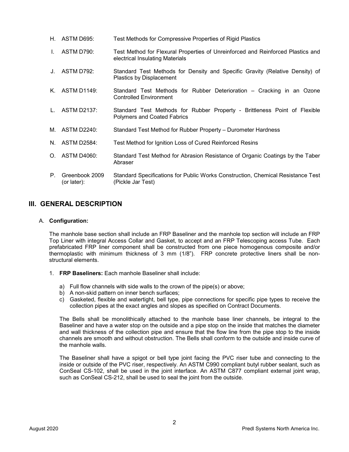- H. ASTM D695: Test Methods for Compressive Properties of Rigid Plastics
- I. ASTM D790: Test Method for Flexural Properties of Unreinforced and Reinforced Plastics and electrical Insulating Materials
- J. ASTM D792: Standard Test Methods for Density and Specific Gravity (Relative Density) of Plastics by Displacement
- K. ASTM D1149: Standard Test Methods for Rubber Deterioration Cracking in an Ozone Controlled Environment
- L. ASTM D2137: Standard Test Methods for Rubber Property Brittleness Point of Flexible Polymers and Coated Fabrics
- M. ASTM D2240: Standard Test Method for Rubber Property Durometer Hardness
- N. ASTM D2584: Test Method for Ignition Loss of Cured Reinforced Resins
- O. ASTM D4060: Standard Test Method for Abrasion Resistance of Organic Coatings by the Taber Abraser
- P. Greenbook 2009 (or later): Standard Specifications for Public Works Construction, Chemical Resistance Test (Pickle Jar Test)

### **III. GENERAL DESCRIPTION**

#### A. **Configuration:**

The manhole base section shall include an FRP Baseliner and the manhole top section will include an FRP Top Liner with integral Access Collar and Gasket, to accept and an FRP Telescoping access Tube. Each prefabricated FRP liner component shall be constructed from one piece homogenous composite and/or thermoplastic with minimum thickness of 3 mm (1/8"). FRP concrete protective liners shall be nonstructural elements.

- 1. **FRP Baseliners:** Each manhole Baseliner shall include:
	- a) Full flow channels with side walls to the crown of the pipe(s) or above;
	- b) A non-skid pattern on inner bench surfaces;
	- c) Gasketed, flexible and watertight, bell type, pipe connections for specific pipe types to receive the collection pipes at the exact angles and slopes as specified on Contract Documents.

The Bells shall be monolithically attached to the manhole base liner channels, be integral to the Baseliner and have a water stop on the outside and a pipe stop on the inside that matches the diameter and wall thickness of the collection pipe and ensure that the flow line from the pipe stop to the inside channels are smooth and without obstruction. The Bells shall conform to the outside and inside curve of the manhole walls.

The Baseliner shall have a spigot or bell type joint facing the PVC riser tube and connecting to the inside or outside of the PVC riser, respectively. An ASTM C990 compliant butyl rubber sealant, such as ConSeal CS-102, shall be used in the joint interface. An ASTM C877 compliant external joint wrap, such as ConSeal CS-212, shall be used to seal the joint from the outside.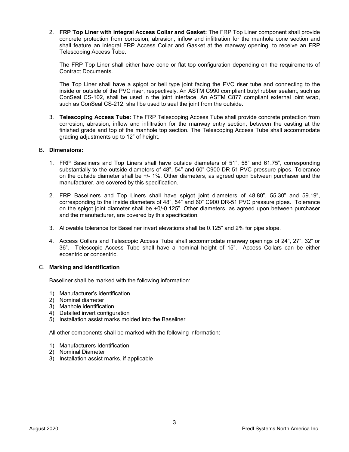2. **FRP Top Liner with integral Access Collar and Gasket:** The FRP Top Liner component shall provide concrete protection from corrosion, abrasion, inflow and infiltration for the manhole cone section and shall feature an integral FRP Access Collar and Gasket at the manway opening, to receive an FRP Telescoping Access Tube.

The FRP Top Liner shall either have cone or flat top configuration depending on the requirements of Contract Documents.

The Top Liner shall have a spigot or bell type joint facing the PVC riser tube and connecting to the inside or outside of the PVC riser, respectively. An ASTM C990 compliant butyl rubber sealant, such as ConSeal CS-102, shall be used in the joint interface. An ASTM C877 compliant external joint wrap, such as ConSeal CS-212, shall be used to seal the joint from the outside.

3. **Telescoping Access Tube:** The FRP Telescoping Access Tube shall provide concrete protection from corrosion, abrasion, inflow and infiltration for the manway entry section, between the casting at the finished grade and top of the manhole top section. The Telescoping Access Tube shall accommodate grading adjustments up to 12" of height.

#### B. **Dimensions:**

- 1. FRP Baseliners and Top Liners shall have outside diameters of 51", 58" and 61.75", corresponding substantially to the outside diameters of 48", 54" and 60" C900 DR-51 PVC pressure pipes. Tolerance on the outside diameter shall be +/- 1%. Other diameters, as agreed upon between purchaser and the manufacturer, are covered by this specification.
- 2. FRP Baseliners and Top Liners shall have spigot joint diameters of 48.80", 55.30" and 59.19", corresponding to the inside diameters of 48", 54" and 60" C900 DR-51 PVC pressure pipes. Tolerance on the spigot joint diameter shall be +0/-0.125". Other diameters, as agreed upon between purchaser and the manufacturer, are covered by this specification.
- 3. Allowable tolerance for Baseliner invert elevations shall be 0.125" and 2% for pipe slope.
- 4. Access Collars and Telescopic Access Tube shall accommodate manway openings of 24", 27", 32" or 36". Telescopic Access Tube shall have a nominal height of 15". Access Collars can be either eccentric or concentric.

#### C. **Marking and Identification**

Baseliner shall be marked with the following information:

- 1) Manufacturer's identification
- 2) Nominal diameter
- 3) Manhole identification
- 4) Detailed invert configuration
- 5) Installation assist marks molded into the Baseliner

All other components shall be marked with the following information:

- 1) Manufacturers Identification
- 2) Nominal Diameter
- 3) Installation assist marks, if applicable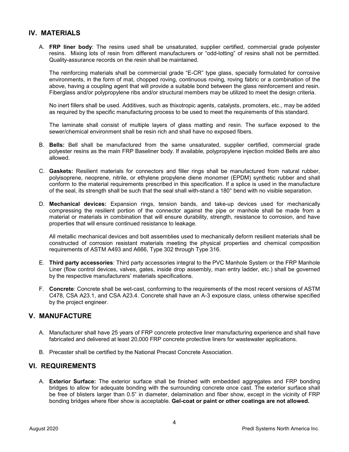## **IV. MATERIALS**

A. **FRP liner body**: The resins used shall be unsaturated, supplier certified, commercial grade polyester resins. Mixing lots of resin from different manufacturers or "odd-lotting" of resins shall not be permitted*.* Quality-assurance records on the resin shall be maintained.

The reinforcing materials shall be commercial grade "E-CR" type glass, specially formulated for corrosive environments, in the form of mat, chopped roving, continuous roving, roving fabric or a combination of the above, having a coupling agent that will provide a suitable bond between the glass reinforcement and resin. Fiberglass and/or polypropylene ribs and/or structural members may be utilized to meet the design criteria.

No inert fillers shall be used. Additives, such as thixotropic agents, catalysts, promoters, etc., may be added as required by the specific manufacturing process to be used to meet the requirements of this standard.

The laminate shall consist of multiple layers of glass matting and resin. The surface exposed to the sewer/chemical environment shall be resin rich and shall have no exposed fibers.

- B. **Bells:** Bell shall be manufactured from the same unsaturated, supplier certified, commercial grade polyester resins as the main FRP Baseliner body. If available, polypropylene injection molded Bells are also allowed.
- C. **Gaskets:** Resilient materials for connectors and filler rings shall be manufactured from natural rubber, polyisoprene, neoprene, nitrile, or ethylene propylene diene monomer (EPDM) synthetic rubber and shall conform to the material requirements prescribed in this specification. If a splice is used in the manufacture of the seal, its strength shall be such that the seal shall with-stand a 180° bend with no visible separation.
- D. **Mechanical devices:** Expansion rings, tension bands, and take-up devices used for mechanically compressing the resilient portion of the connector against the pipe or manhole shall be made from a material or materials in combination that will ensure durability, strength, resistance to corrosion, and have properties that will ensure continued resistance to leakage.

All metallic mechanical devices and bolt assemblies used to mechanically deform resilient materials shall be constructed of corrosion resistant materials meeting the physical properties and chemical composition requirements of ASTM A493 and A666, Type 302 through Type 316.

- E. **Third party accessories**: Third party accessories integral to the PVC Manhole System or the FRP Manhole Liner (flow control devices, valves, gates, inside drop assembly, man entry ladder, etc.) shall be governed by the respective manufacturers' materials specifications.
- F. **Concrete**: Concrete shall be wet-cast, conforming to the requirements of the most recent versions of ASTM C478, CSA A23.1, and CSA A23.4. Concrete shall have an A-3 exposure class, unless otherwise specified by the project engineer.

### **V. MANUFACTURE**

- A. Manufacturer shall have 25 years of FRP concrete protective liner manufacturing experience and shall have fabricated and delivered at least 20,000 FRP concrete protective liners for wastewater applications.
- B. Precaster shall be certified by the National Precast Concrete Association.

### **VI. REQUIREMENTS**

A. **Exterior Surface:** The exterior surface shall be finished with embedded aggregates and FRP bonding bridges to allow for adequate bonding with the surrounding concrete once cast. The exterior surface shall be free of blisters larger than 0.5" in diameter, delamination and fiber show, except in the vicinity of FRP bonding bridges where fiber show is acceptable. **Gel-coat or paint or other coatings are not allowed.**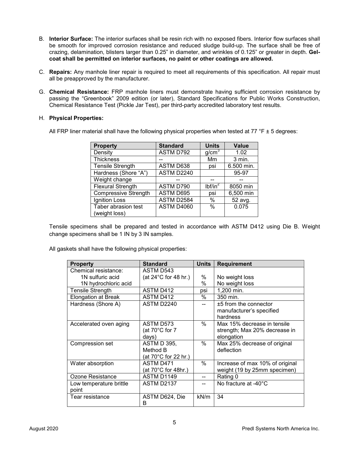- B. **Interior Surface:** The interior surfaces shall be resin rich with no exposed fibers. Interior flow surfaces shall be smooth for improved corrosion resistance and reduced sludge build-up. The surface shall be free of crazing, delamination, blisters larger than 0.25" in diameter, and wrinkles of 0.125" or greater in depth. **Gelcoat shall be permitted on interior surfaces, no paint or other coatings are allowed.**
- C. **Repairs:** Any manhole liner repair is required to meet all requirements of this specification. All repair must all be preapproved by the manufacturer.
- G. **Chemical Resistance:** FRP manhole liners must demonstrate having sufficient corrosion resistance by passing the "Greenbook" 2009 edition (or later), Standard Specifications for Public Works Construction, Chemical Resistance Test (Pickle Jar Test), per third-party accredited laboratory test results.

#### H. **Physical Properties:**

All FRP liner material shall have the following physical properties when tested at 77  $\degree$ F  $\pm$  5 degrees:

| <b>Property</b>                      | <b>Standard</b> | <b>Units</b>        | <b>Value</b> |
|--------------------------------------|-----------------|---------------------|--------------|
| Density                              | ASTM D792       | g/cm <sup>3</sup>   | 1.02         |
| <b>Thickness</b>                     |                 | Mm                  | 3 min.       |
| <b>Tensile Strength</b>              | ASTM D638       | psi                 | 6.500 min.   |
| Hardness (Shore "A")                 | ASTM D2240      |                     | 95-97        |
| Weight change                        |                 |                     |              |
| <b>Flexural Strength</b>             | ASTM D790       | lbf/in <sup>2</sup> | 8050 min     |
| <b>Compressive Strength</b>          | ASTM D695       | psi                 | 6,500 min    |
| Ignition Loss                        | ASTM D2584      | $\%$                | 52 avg.      |
| Taber abrasion test<br>(weight loss) | ASTM D4060      | $\frac{0}{0}$       | 0.075        |
|                                      |                 |                     |              |

Tensile specimens shall be prepared and tested in accordance with ASTM D412 using Die B. Weight change specimens shall be 1 IN by 3 IN samples.

All gaskets shall have the following physical properties:

| <b>Property</b>            | <b>Standard</b>                | <b>Units</b> | <b>Requirement</b>              |
|----------------------------|--------------------------------|--------------|---------------------------------|
| Chemical resistance:       | ASTM D543                      |              |                                 |
| 1N sulfuric acid           | (at $24^{\circ}$ C for 48 hr.) | $\%$         | No weight loss                  |
| 1N hydrochloric acid       |                                | %            | No weight loss                  |
| Tensile Strength           | ASTM D412                      | psi          | 1,200 min.                      |
| <b>Elongation at Break</b> | ASTM D412                      | $\%$         | 350 min.                        |
| Hardness (Shore A)         | ASTM D2240                     |              | ±5 from the connector           |
|                            |                                |              | manufacturer's specified        |
|                            |                                |              | hardness                        |
| Accelerated oven aging     | ASTM D573                      | $\%$         | Max 15% decrease in tensile     |
|                            | (at 70°C for 7                 |              | strength; Max 20% decrease in   |
|                            | days)                          |              | elongation                      |
| Compression set            | ASTM D 395,                    | $\%$         | Max 25% decrease of original    |
|                            | Method B                       |              | deflection                      |
|                            | (at 70°C for 22 hr.)           |              |                                 |
| Water absorption           | ASTM D471                      | $\%$         | Increase of max 10% of original |
|                            | (at 70°C for 48hr.)            |              | weight (19 by 25mm specimen)    |
| Ozone Resistance           | ASTM D1149                     |              | Rating 0                        |
| Low temperature brittle    | <b>ASTM D2137</b>              |              | No fracture at -40°C            |
| point                      |                                |              |                                 |
| Tear resistance            | ASTM D624, Die                 | kN/m         | 34                              |
|                            | В                              |              |                                 |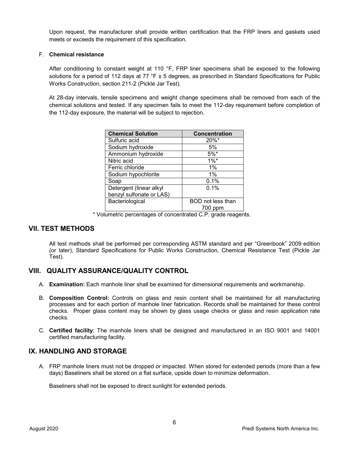Upon request, the manufacturer shall provide written certification that the FRP liners and gaskets used meets or exceeds the requirement of this specification.

#### F. **Chemical resistance**

After conditioning to constant weight at 110 °F, FRP liner specimens shall be exposed to the following solutions for a period of 112 days at 77  $\degree$ F  $\pm$  5 degrees, as prescribed in Standard Specifications for Public Works Construction, section 211-2 (Pickle Jar Test).

At 28-day intervals, tensile specimens and weight change specimens shall be removed from each of the chemical solutions and tested. If any specimen fails to meet the 112-day requirement before completion of the 112-day exposure, the material will be subject to rejection.

| <b>Chemical Solution</b> | Concentration       |
|--------------------------|---------------------|
| Sulfuric acid            | $20\%$ <sup>*</sup> |
| Sodium hydroxide         | 5%                  |
| Ammonium hydroxide       | $5%$ *              |
| Nitric acid              | $1\%$ <sup>*</sup>  |
| Ferric chloride          | $1\%$               |
| Sodium hypochlorite      | $1\%$               |
| Soap                     | 0.1%                |
| Detergent (linear alkyl  | $0.1\%$             |
| benzyl sulfonate or LAS) |                     |
| Bacteriological          | BOD not less than   |
|                          | 700 ppm             |

\* Volumetric percentages of concentrated C.P. grade reagents.

### **VII. TEST METHODS**

All test methods shall be performed per corresponding ASTM standard and per "Greenbook" 2009 edition (or later), Standard Specifications for Public Works Construction, Chemical Resistance Test (Pickle Jar Test).

### **VIII. QUALITY ASSURANCE/QUALITY CONTROL**

- A. **Examination:** Each manhole liner shall be examined for dimensional requirements and workmanship.
- B. **Composition Control:** Controls on glass and resin content shall be maintained for all manufacturing processes and for each portion of manhole liner fabrication. Records shall be maintained for these control checks. Proper glass content may be shown by glass usage checks or glass and resin application rate checks.
- C. **Certified facility**: The manhole liners shall be designed and manufactured in an ISO 9001 and 14001 certified manufacturing facility.

### **IX. HANDLING AND STORAGE**

A. FRP manhole liners must not be dropped or impacted. When stored for extended periods (more than a few days) Baseliners shall be stored on a flat surface, upside down to minimize deformation.

Baseliners shall not be exposed to direct sunlight for extended periods.